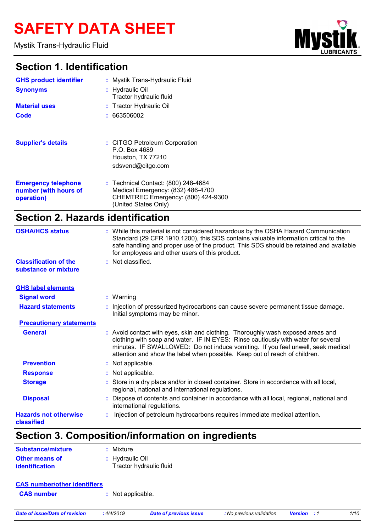# **SAFETY DATA SHEET**

Mystik Trans-Hydraulic Fluid

# **Section 1. Identification**

| Ш<br><b>UBRICANTS</b> | œ |
|-----------------------|---|

٦

| Section 1. Identification                                         |                                                                                                                                                                                                                                                                                                                                       |
|-------------------------------------------------------------------|---------------------------------------------------------------------------------------------------------------------------------------------------------------------------------------------------------------------------------------------------------------------------------------------------------------------------------------|
| <b>GHS product identifier</b>                                     | : Mystik Trans-Hydraulic Fluid                                                                                                                                                                                                                                                                                                        |
| <b>Synonyms</b>                                                   | : Hydraulic Oil<br>Tractor hydraulic fluid                                                                                                                                                                                                                                                                                            |
| <b>Material uses</b>                                              | : Tractor Hydraulic Oil                                                                                                                                                                                                                                                                                                               |
| <b>Code</b>                                                       | : 663506002                                                                                                                                                                                                                                                                                                                           |
| <b>Supplier's details</b>                                         | : CITGO Petroleum Corporation<br>P.O. Box 4689<br>Houston, TX 77210<br>sdsvend@citgo.com                                                                                                                                                                                                                                              |
| <b>Emergency telephone</b><br>number (with hours of<br>operation) | : Technical Contact: (800) 248-4684<br>Medical Emergency: (832) 486-4700<br>CHEMTREC Emergency: (800) 424-9300<br>(United States Only)                                                                                                                                                                                                |
| <b>Section 2. Hazards identification</b>                          |                                                                                                                                                                                                                                                                                                                                       |
| <b>OSHA/HCS status</b>                                            | : While this material is not considered hazardous by the OSHA Hazard Communication<br>Standard (29 CFR 1910.1200), this SDS contains valuable information critical to the<br>safe handling and proper use of the product. This SDS should be retained and available<br>for employees and other users of this product.                 |
| <b>Classification of the</b><br>substance or mixture              | : Not classified.                                                                                                                                                                                                                                                                                                                     |
| <b>GHS label elements</b>                                         |                                                                                                                                                                                                                                                                                                                                       |
| <b>Signal word</b>                                                | $:$ Warning                                                                                                                                                                                                                                                                                                                           |
| <b>Hazard statements</b>                                          | : Injection of pressurized hydrocarbons can cause severe permanent tissue damage.<br>Initial symptoms may be minor.                                                                                                                                                                                                                   |
| <b>Precautionary statements</b>                                   |                                                                                                                                                                                                                                                                                                                                       |
| <b>General</b>                                                    | : Avoid contact with eyes, skin and clothing. Thoroughly wash exposed areas and<br>clothing with soap and water. IF IN EYES: Rinse cautiously with water for several<br>minutes. IF SWALLOWED: Do not induce vomiting. If you feel unwell, seek medical<br>attention and show the label when possible. Keep out of reach of children. |
| <b>Prevention</b>                                                 | Not applicable.                                                                                                                                                                                                                                                                                                                       |
| <b>Response</b>                                                   | : Not applicable.                                                                                                                                                                                                                                                                                                                     |
| <b>Storage</b>                                                    | : Store in a dry place and/or in closed container. Store in accordance with all local,<br>regional, national and international regulations.                                                                                                                                                                                           |
| <b>Disposal</b>                                                   | Dispose of contents and container in accordance with all local, regional, national and<br>international regulations.                                                                                                                                                                                                                  |
| <b>Hazards not otherwise</b><br>classified                        | Injection of petroleum hydrocarbons requires immediate medical attention.                                                                                                                                                                                                                                                             |

## **Section 3. Composition/information on ingredients**

| <b>Substance/mixture</b>                | : Mixture                                  |
|-----------------------------------------|--------------------------------------------|
| <b>Other means of</b><br>identification | : Hydraulic Oil<br>Tractor hydraulic fluid |

| <b>CAS number/other identifiers</b> |                   |                        |                          |                    |      |
|-------------------------------------|-------------------|------------------------|--------------------------|--------------------|------|
| <b>CAS number</b>                   | : Not applicable. |                        |                          |                    |      |
| Date of issue/Date of revision      | : 4/4/2019        | Date of previous issue | : No previous validation | <b>Version</b> : 1 | 1/10 |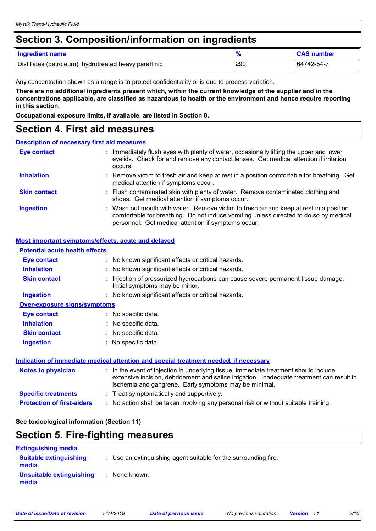### **Section 3. Composition/information on ingredients**

| <b>Ingredient name</b>                                 | 0.  | <b>CAS number</b> |
|--------------------------------------------------------|-----|-------------------|
| Distillates (petroleum), hydrotreated heavy paraffinic | ≥90 | 164742-54-7       |

Any concentration shown as a range is to protect confidentiality or is due to process variation.

**There are no additional ingredients present which, within the current knowledge of the supplier and in the concentrations applicable, are classified as hazardous to health or the environment and hence require reporting in this section.**

**Occupational exposure limits, if available, are listed in Section 8.**

### **Section 4. First aid measures**

#### **Description of necessary first aid measures**

| <b>Eye contact</b>  | : Immediately flush eyes with plenty of water, occasionally lifting the upper and lower<br>eyelids. Check for and remove any contact lenses. Get medical attention if irritation<br>occurs.                                            |
|---------------------|----------------------------------------------------------------------------------------------------------------------------------------------------------------------------------------------------------------------------------------|
| <b>Inhalation</b>   | : Remove victim to fresh air and keep at rest in a position comfortable for breathing. Get<br>medical attention if symptoms occur.                                                                                                     |
| <b>Skin contact</b> | : Flush contaminated skin with plenty of water. Remove contaminated clothing and<br>shoes. Get medical attention if symptoms occur.                                                                                                    |
| <b>Ingestion</b>    | : Wash out mouth with water. Remove victim to fresh air and keep at rest in a position<br>comfortable for breathing. Do not induce vomiting unless directed to do so by medical<br>personnel. Get medical attention if symptoms occur. |

#### **Most important symptoms/effects, acute and delayed**

| <b>Potential acute health effects</b> |                                                                                                                                                                                                                                            |
|---------------------------------------|--------------------------------------------------------------------------------------------------------------------------------------------------------------------------------------------------------------------------------------------|
| <b>Eye contact</b>                    | : No known significant effects or critical hazards.                                                                                                                                                                                        |
| <b>Inhalation</b>                     | : No known significant effects or critical hazards.                                                                                                                                                                                        |
| <b>Skin contact</b>                   | : Injection of pressurized hydrocarbons can cause severe permanent tissue damage.<br>Initial symptoms may be minor.                                                                                                                        |
| <b>Ingestion</b>                      | : No known significant effects or critical hazards.                                                                                                                                                                                        |
| <b>Over-exposure signs/symptoms</b>   |                                                                                                                                                                                                                                            |
| Eye contact                           | : No specific data.                                                                                                                                                                                                                        |
| <b>Inhalation</b>                     | : No specific data.                                                                                                                                                                                                                        |
| <b>Skin contact</b>                   | : No specific data.                                                                                                                                                                                                                        |
| <b>Ingestion</b>                      | : No specific data.                                                                                                                                                                                                                        |
|                                       | Indication of immediate medical attention and special treatment needed, if necessary                                                                                                                                                       |
| <b>Notes to physician</b>             | : In the event of injection in underlying tissue, immediate treatment should include<br>extensive incision, debridement and saline irrigation. Inadequate treatment can result in<br>ischemia and gangrene. Early symptoms may be minimal. |
| <b>Specific treatments</b>            | : Treat symptomatically and supportively.                                                                                                                                                                                                  |
| <b>Protection of first-aiders</b>     | : No action shall be taken involving any personal risk or without suitable training.                                                                                                                                                       |

**See toxicological information (Section 11)**

### **Section 5. Fire-fighting measures**

| <b>Extinguishing media</b>             |                                                                 |
|----------------------------------------|-----------------------------------------------------------------|
| <b>Suitable extinguishing</b><br>media | : Use an extinguishing agent suitable for the surrounding fire. |
| Unsuitable extinguishing<br>media      | : None known.                                                   |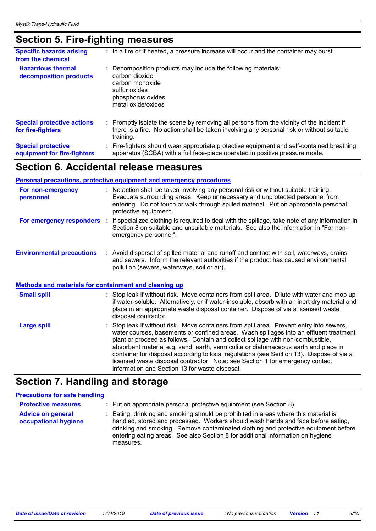### **Section 5. Fire-fighting measures**

| <b>Specific hazards arising</b><br>from the chemical     | : In a fire or if heated, a pressure increase will occur and the container may burst.                                                                                                                   |
|----------------------------------------------------------|---------------------------------------------------------------------------------------------------------------------------------------------------------------------------------------------------------|
| <b>Hazardous thermal</b><br>decomposition products       | Decomposition products may include the following materials:<br>carbon dioxide<br>carbon monoxide<br>sulfur oxides<br>phosphorus oxides<br>metal oxide/oxides                                            |
| <b>Special protective actions</b><br>for fire-fighters   | Promptly isolate the scene by removing all persons from the vicinity of the incident if<br>÷.<br>there is a fire. No action shall be taken involving any personal risk or without suitable<br>training. |
| <b>Special protective</b><br>equipment for fire-fighters | Fire-fighters should wear appropriate protective equipment and self-contained breathing<br>apparatus (SCBA) with a full face-piece operated in positive pressure mode.                                  |

### **Section 6. Accidental release measures**

#### **Personal precautions, protective equipment and emergency procedures :** No action shall be taken involving any personal risk or without suitable training. **For non-emergency**

| <b>I</b> VI HUIL-CHICLYCHUY<br>personnel | $\cdot$ TVD action shall be taken involving any personal risk of without suitable training.<br>Evacuate surrounding areas. Keep unnecessary and unprotected personnel from<br>entering. Do not touch or walk through spilled material. Put on appropriate personal<br>protective equipment. |
|------------------------------------------|---------------------------------------------------------------------------------------------------------------------------------------------------------------------------------------------------------------------------------------------------------------------------------------------|
| For emergency responders                 | : If specialized clothing is required to deal with the spillage, take note of any information in<br>Section 8 on suitable and unsuitable materials. See also the information in "For non-<br>emergency personnel".                                                                          |
| <b>Environmental precautions</b>         | : Avoid dispersal of spilled material and runoff and contact with soil, waterways, drains<br>and sewers. Inform the relevant authorities if the product has caused environmental<br>pollution (sewers, waterways, soil or air).                                                             |

|                    | <b>Methods and materials for containment and cleaning up</b>                                                                                                                                                                                                                                                                                                                                                                                                                                                                                                                               |
|--------------------|--------------------------------------------------------------------------------------------------------------------------------------------------------------------------------------------------------------------------------------------------------------------------------------------------------------------------------------------------------------------------------------------------------------------------------------------------------------------------------------------------------------------------------------------------------------------------------------------|
| <b>Small spill</b> | : Stop leak if without risk. Move containers from spill area. Dilute with water and mop up<br>if water-soluble. Alternatively, or if water-insoluble, absorb with an inert dry material and<br>place in an appropriate waste disposal container. Dispose of via a licensed waste<br>disposal contractor.                                                                                                                                                                                                                                                                                   |
| <b>Large spill</b> | : Stop leak if without risk. Move containers from spill area. Prevent entry into sewers,<br>water courses, basements or confined areas. Wash spillages into an effluent treatment<br>plant or proceed as follows. Contain and collect spillage with non-combustible,<br>absorbent material e.g. sand, earth, vermiculite or diatomaceous earth and place in<br>container for disposal according to local regulations (see Section 13). Dispose of via a<br>licensed waste disposal contractor. Note: see Section 1 for emergency contact<br>information and Section 13 for waste disposal. |

### **Section 7. Handling and storage**

#### **Precautions for safe handling**

| <b>Protective measures</b>                       | : Put on appropriate personal protective equipment (see Section 8).                                                                                                                                                                                                                                                                                           |
|--------------------------------------------------|---------------------------------------------------------------------------------------------------------------------------------------------------------------------------------------------------------------------------------------------------------------------------------------------------------------------------------------------------------------|
| <b>Advice on general</b><br>occupational hygiene | : Eating, drinking and smoking should be prohibited in areas where this material is<br>handled, stored and processed. Workers should wash hands and face before eating,<br>drinking and smoking. Remove contaminated clothing and protective equipment before<br>entering eating areas. See also Section 8 for additional information on hygiene<br>measures. |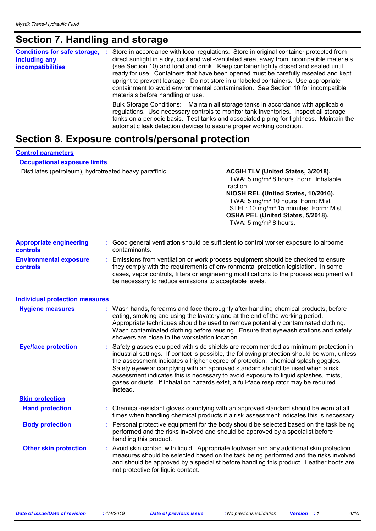# **Section 7. Handling and storage**

| <b>Conditions for safe storage,</b><br>including any<br>incompatibilities | Store in accordance with local regulations. Store in original container protected from<br>÷<br>direct sunlight in a dry, cool and well-ventilated area, away from incompatible materials<br>(see Section 10) and food and drink. Keep container tightly closed and sealed until<br>ready for use. Containers that have been opened must be carefully resealed and kept<br>upright to prevent leakage. Do not store in unlabeled containers. Use appropriate<br>containment to avoid environmental contamination. See Section 10 for incompatible<br>materials before handling or use. |
|---------------------------------------------------------------------------|---------------------------------------------------------------------------------------------------------------------------------------------------------------------------------------------------------------------------------------------------------------------------------------------------------------------------------------------------------------------------------------------------------------------------------------------------------------------------------------------------------------------------------------------------------------------------------------|
|                                                                           | Bulk Storage Conditions: Maintain all storage tanks in accordance with applicable<br>regulations. Use necessary controls to monitor tank inventories. Inspect all storage<br>tanks on a periodic basis. Test tanks and associated piping for tightness. Maintain the<br>automatic leak detection devices to assure proper working condition.                                                                                                                                                                                                                                          |

# **Section 8. Exposure controls/personal protection**

| <b>Control parameters</b>                              |                                                                                                         |                                                                                                                                                                                                                                                                                                                                                                                                                                                                                                                                       |  |
|--------------------------------------------------------|---------------------------------------------------------------------------------------------------------|---------------------------------------------------------------------------------------------------------------------------------------------------------------------------------------------------------------------------------------------------------------------------------------------------------------------------------------------------------------------------------------------------------------------------------------------------------------------------------------------------------------------------------------|--|
| <b>Occupational exposure limits</b>                    |                                                                                                         |                                                                                                                                                                                                                                                                                                                                                                                                                                                                                                                                       |  |
| Distillates (petroleum), hydrotreated heavy paraffinic |                                                                                                         | ACGIH TLV (United States, 3/2018).<br>TWA: 5 mg/m <sup>3</sup> 8 hours. Form: Inhalable<br>fraction<br>NIOSH REL (United States, 10/2016).<br>TWA: 5 mg/m <sup>3</sup> 10 hours. Form: Mist<br>STEL: 10 mg/m <sup>3</sup> 15 minutes. Form: Mist<br>OSHA PEL (United States, 5/2018).<br>TWA: 5 mg/m <sup>3</sup> 8 hours.                                                                                                                                                                                                            |  |
| <b>Appropriate engineering</b><br>controls             | : Good general ventilation should be sufficient to control worker exposure to airborne<br>contaminants. |                                                                                                                                                                                                                                                                                                                                                                                                                                                                                                                                       |  |
| <b>Environmental exposure</b><br>controls              | be necessary to reduce emissions to acceptable levels.                                                  | : Emissions from ventilation or work process equipment should be checked to ensure<br>they comply with the requirements of environmental protection legislation. In some<br>cases, vapor controls, filters or engineering modifications to the process equipment will                                                                                                                                                                                                                                                                 |  |
| <b>Individual protection measures</b>                  |                                                                                                         |                                                                                                                                                                                                                                                                                                                                                                                                                                                                                                                                       |  |
| <b>Hygiene measures</b>                                | showers are close to the workstation location.                                                          | : Wash hands, forearms and face thoroughly after handling chemical products, before<br>eating, smoking and using the lavatory and at the end of the working period.<br>Appropriate techniques should be used to remove potentially contaminated clothing.<br>Wash contaminated clothing before reusing. Ensure that eyewash stations and safety                                                                                                                                                                                       |  |
| <b>Eye/face protection</b>                             | instead.                                                                                                | Safety glasses equipped with side shields are recommended as minimum protection in<br>industrial settings. If contact is possible, the following protection should be worn, unless<br>the assessment indicates a higher degree of protection: chemical splash goggles.<br>Safety eyewear complying with an approved standard should be used when a risk<br>assessment indicates this is necessary to avoid exposure to liquid splashes, mists,<br>gases or dusts. If inhalation hazards exist, a full-face respirator may be required |  |
| <b>Skin protection</b>                                 |                                                                                                         |                                                                                                                                                                                                                                                                                                                                                                                                                                                                                                                                       |  |
| <b>Hand protection</b>                                 |                                                                                                         | : Chemical-resistant gloves complying with an approved standard should be worn at all<br>times when handling chemical products if a risk assessment indicates this is necessary.                                                                                                                                                                                                                                                                                                                                                      |  |
| <b>Body protection</b>                                 | handling this product.                                                                                  | Personal protective equipment for the body should be selected based on the task being<br>performed and the risks involved and should be approved by a specialist before                                                                                                                                                                                                                                                                                                                                                               |  |
| <b>Other skin protection</b>                           | not protective for liquid contact.                                                                      | : Avoid skin contact with liquid. Appropriate footwear and any additional skin protection<br>measures should be selected based on the task being performed and the risks involved<br>and should be approved by a specialist before handling this product. Leather boots are                                                                                                                                                                                                                                                           |  |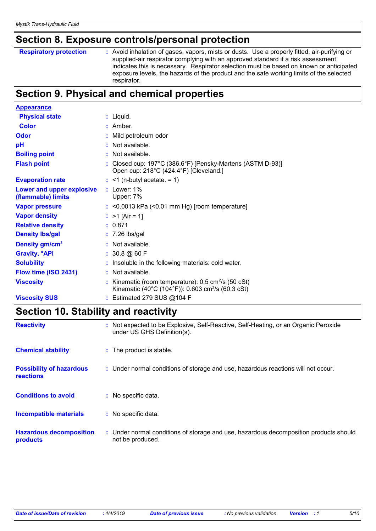### **Section 8. Exposure controls/personal protection**

```
Respiratory protection :
```
Avoid inhalation of gases, vapors, mists or dusts. Use a properly fitted, air-purifying or supplied-air respirator complying with an approved standard if a risk assessment indicates this is necessary. Respirator selection must be based on known or anticipated exposure levels, the hazards of the product and the safe working limits of the selected respirator.

### **Section 9. Physical and chemical properties**

| <b>Appearance</b>                               |                                                                                                                                       |
|-------------------------------------------------|---------------------------------------------------------------------------------------------------------------------------------------|
| <b>Physical state</b>                           | $:$ Liquid.                                                                                                                           |
| <b>Color</b>                                    | : Amber.                                                                                                                              |
| Odor                                            | : Mild petroleum odor                                                                                                                 |
| pH                                              | $:$ Not available.                                                                                                                    |
| <b>Boiling point</b>                            | : Not available.                                                                                                                      |
| <b>Flash point</b>                              | : Closed cup: $197^{\circ}$ C (386.6°F) [Pensky-Martens (ASTM D-93)]<br>Open cup: 218°C (424.4°F) [Cleveland.]                        |
| <b>Evaporation rate</b>                         | $:$ <1 (n-butyl acetate. = 1)                                                                                                         |
| Lower and upper explosive<br>(flammable) limits | $:$ Lower: $1\%$<br>Upper: 7%                                                                                                         |
| <b>Vapor pressure</b>                           | $:$ <0.0013 kPa (<0.01 mm Hg) [room temperature]                                                                                      |
| <b>Vapor density</b>                            | : $>1$ [Air = 1]                                                                                                                      |
| <b>Relative density</b>                         | : 0.871                                                                                                                               |
| <b>Density Ibs/gal</b>                          | $: 7.26$ lbs/gal                                                                                                                      |
| Density gm/cm <sup>3</sup>                      | $:$ Not available.                                                                                                                    |
| <b>Gravity, <sup>o</sup>API</b>                 | : 30.8 @ 60 F                                                                                                                         |
| <b>Solubility</b>                               | : Insoluble in the following materials: cold water.                                                                                   |
| Flow time (ISO 2431)                            | $:$ Not available.                                                                                                                    |
| <b>Viscosity</b>                                | : Kinematic (room temperature): $0.5 \text{ cm}^2/\text{s}$ (50 cSt)<br>Kinematic (40°C (104°F)): 0.603 cm <sup>2</sup> /s (60.3 cSt) |
| <b>Viscosity SUS</b>                            | : Estimated 279 SUS @104 F                                                                                                            |

### **Section 10. Stability and reactivity**

| <b>Reactivity</b>                                   | Not expected to be Explosive, Self-Reactive, Self-Heating, or an Organic Peroxide<br>under US GHS Definition(s). |
|-----------------------------------------------------|------------------------------------------------------------------------------------------------------------------|
| <b>Chemical stability</b>                           | : The product is stable.                                                                                         |
| <b>Possibility of hazardous</b><br><b>reactions</b> | : Under normal conditions of storage and use, hazardous reactions will not occur.                                |
| <b>Conditions to avoid</b>                          | : No specific data.                                                                                              |
| <b>Incompatible materials</b>                       | No specific data.                                                                                                |
| <b>Hazardous decomposition</b><br>products          | : Under normal conditions of storage and use, hazardous decomposition products should<br>not be produced.        |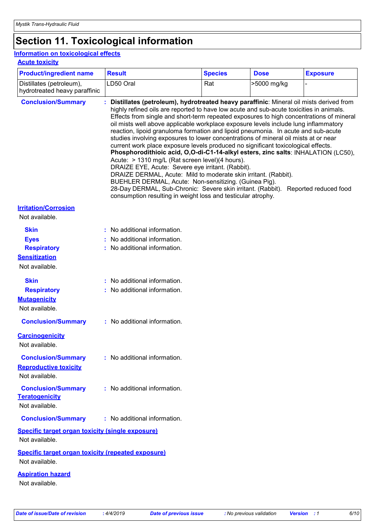## **Section 11. Toxicological information**

### **Information on toxicological effects**

**Acute toxicity**

| <b>Product/ingredient name</b>                                                             | <b>Result</b>                                                                                                                                                                                                                                                                                                                                                                                                                                                                                                                                                                                                                                                                                                                                                                                                                                                                                                                                                                                                                                                                                                      | <b>Species</b> | <b>Dose</b> | <b>Exposure</b> |
|--------------------------------------------------------------------------------------------|--------------------------------------------------------------------------------------------------------------------------------------------------------------------------------------------------------------------------------------------------------------------------------------------------------------------------------------------------------------------------------------------------------------------------------------------------------------------------------------------------------------------------------------------------------------------------------------------------------------------------------------------------------------------------------------------------------------------------------------------------------------------------------------------------------------------------------------------------------------------------------------------------------------------------------------------------------------------------------------------------------------------------------------------------------------------------------------------------------------------|----------------|-------------|-----------------|
| Distillates (petroleum),<br>hydrotreated heavy paraffinic                                  | LD50 Oral                                                                                                                                                                                                                                                                                                                                                                                                                                                                                                                                                                                                                                                                                                                                                                                                                                                                                                                                                                                                                                                                                                          | Rat            | >5000 mg/kg |                 |
| <b>Conclusion/Summary</b>                                                                  | Distillates (petroleum), hydrotreated heavy paraffinic: Mineral oil mists derived from<br>highly refined oils are reported to have low acute and sub-acute toxicities in animals.<br>Effects from single and short-term repeated exposures to high concentrations of mineral<br>oil mists well above applicable workplace exposure levels include lung inflammatory<br>reaction, lipoid granuloma formation and lipoid pneumonia. In acute and sub-acute<br>studies involving exposures to lower concentrations of mineral oil mists at or near<br>current work place exposure levels produced no significant toxicological effects.<br>Phosphorodithioic acid, O,O-di-C1-14-alkyl esters, zinc salts: INHALATION (LC50),<br>Acute: > 1310 mg/L (Rat screen level)(4 hours).<br>DRAIZE EYE, Acute: Severe eye irritant. (Rabbit).<br>DRAIZE DERMAL, Acute: Mild to moderate skin irritant. (Rabbit).<br>BUEHLER DERMAL, Acute: Non-sensitizing. (Guinea Pig).<br>28-Day DERMAL, Sub-Chronic: Severe skin irritant. (Rabbit). Reported reduced food<br>consumption resulting in weight loss and testicular atrophy. |                |             |                 |
| <b>Irritation/Corrosion</b><br>Not available.                                              |                                                                                                                                                                                                                                                                                                                                                                                                                                                                                                                                                                                                                                                                                                                                                                                                                                                                                                                                                                                                                                                                                                                    |                |             |                 |
| <b>Skin</b><br><b>Eyes</b><br><b>Respiratory</b><br><b>Sensitization</b><br>Not available. | : No additional information.<br>No additional information.<br>: No additional information.                                                                                                                                                                                                                                                                                                                                                                                                                                                                                                                                                                                                                                                                                                                                                                                                                                                                                                                                                                                                                         |                |             |                 |
| <b>Skin</b><br><b>Respiratory</b><br><b>Mutagenicity</b><br>Not available.                 | : No additional information.<br>: No additional information.                                                                                                                                                                                                                                                                                                                                                                                                                                                                                                                                                                                                                                                                                                                                                                                                                                                                                                                                                                                                                                                       |                |             |                 |
| <b>Conclusion/Summary</b>                                                                  | : No additional information.                                                                                                                                                                                                                                                                                                                                                                                                                                                                                                                                                                                                                                                                                                                                                                                                                                                                                                                                                                                                                                                                                       |                |             |                 |
| <b>Carcinogenicity</b><br>Not available.<br><b>Conclusion/Summary</b>                      | $:$ No additional information.                                                                                                                                                                                                                                                                                                                                                                                                                                                                                                                                                                                                                                                                                                                                                                                                                                                                                                                                                                                                                                                                                     |                |             |                 |
| <b>Reproductive toxicity</b><br>Not available.                                             |                                                                                                                                                                                                                                                                                                                                                                                                                                                                                                                                                                                                                                                                                                                                                                                                                                                                                                                                                                                                                                                                                                                    |                |             |                 |
| <b>Conclusion/Summary</b><br><b>Teratogenicity</b><br>Not available.                       | : No additional information.                                                                                                                                                                                                                                                                                                                                                                                                                                                                                                                                                                                                                                                                                                                                                                                                                                                                                                                                                                                                                                                                                       |                |             |                 |
| <b>Conclusion/Summary</b>                                                                  | : No additional information.                                                                                                                                                                                                                                                                                                                                                                                                                                                                                                                                                                                                                                                                                                                                                                                                                                                                                                                                                                                                                                                                                       |                |             |                 |
| Specific target organ toxicity (single exposure)<br>Not available.                         |                                                                                                                                                                                                                                                                                                                                                                                                                                                                                                                                                                                                                                                                                                                                                                                                                                                                                                                                                                                                                                                                                                                    |                |             |                 |
| <b>Specific target organ toxicity (repeated exposure)</b><br>Not available.                |                                                                                                                                                                                                                                                                                                                                                                                                                                                                                                                                                                                                                                                                                                                                                                                                                                                                                                                                                                                                                                                                                                                    |                |             |                 |
| <b>Aspiration hazard</b><br>Not available.                                                 |                                                                                                                                                                                                                                                                                                                                                                                                                                                                                                                                                                                                                                                                                                                                                                                                                                                                                                                                                                                                                                                                                                                    |                |             |                 |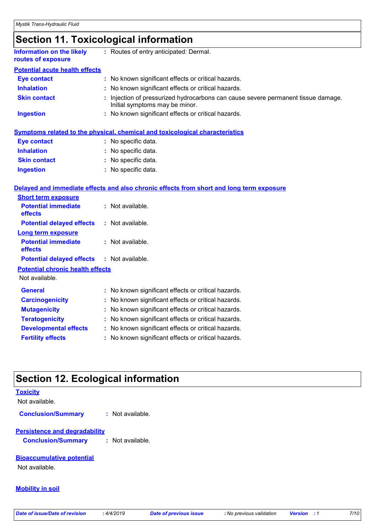### **Section 11. Toxicological information**

| <b>Information on the likely</b><br>routes of exposure | : Routes of entry anticipated: Dermal.                                                                              |
|--------------------------------------------------------|---------------------------------------------------------------------------------------------------------------------|
| <b>Potential acute health effects</b>                  |                                                                                                                     |
| <b>Eye contact</b>                                     | : No known significant effects or critical hazards.                                                                 |
| <b>Inhalation</b>                                      | : No known significant effects or critical hazards.                                                                 |
| <b>Skin contact</b>                                    | : Injection of pressurized hydrocarbons can cause severe permanent tissue damage.<br>Initial symptoms may be minor. |
| <b>Ingestion</b>                                       | : No known significant effects or critical hazards.                                                                 |

|                     | <b>Symptoms related to the physical, chemical and toxicological characteristics</b> |
|---------------------|-------------------------------------------------------------------------------------|
| Eye contact         | : No specific data.                                                                 |
| <b>Inhalation</b>   | : No specific data.                                                                 |
| <b>Skin contact</b> | : No specific data.                                                                 |
| <b>Ingestion</b>    | : No specific data.                                                                 |

#### **Delayed and immediate effects and also chronic effects from short and long term exposure**

| <b>Short term exposure</b>                        |                                                     |  |  |  |
|---------------------------------------------------|-----------------------------------------------------|--|--|--|
| <b>Potential immediate</b><br><b>effects</b>      | $:$ Not available.                                  |  |  |  |
| <b>Potential delayed effects</b>                  | : Not available.                                    |  |  |  |
| <b>Long term exposure</b>                         |                                                     |  |  |  |
| <b>Potential immediate</b><br>effects             | : Not available.                                    |  |  |  |
| <b>Potential delayed effects : Not available.</b> |                                                     |  |  |  |
| <b>Potential chronic health effects</b>           |                                                     |  |  |  |
| Not available.                                    |                                                     |  |  |  |
| <b>General</b>                                    | : No known significant effects or critical hazards. |  |  |  |
| <b>Carcinogenicity</b>                            | No known significant effects or critical hazards.   |  |  |  |
| <b>Mutagenicity</b>                               | No known significant effects or critical hazards.   |  |  |  |
| <b>Teratogenicity</b>                             | No known significant effects or critical hazards.   |  |  |  |
| <b>Developmental effects</b>                      | No known significant effects or critical hazards.   |  |  |  |
| <b>Fertility effects</b>                          | No known significant effects or critical hazards.   |  |  |  |

### **Section 12. Ecological information**

#### **Toxicity**

Not available.

**Conclusion/Summary :** Not available.

#### **Persistence and degradability**

**Conclusion/Summary :** Not available.

#### **Bioaccumulative potential**

Not available.

#### **Mobility in soil**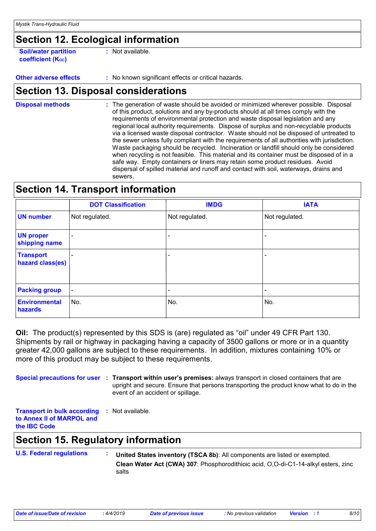### **Section 12. Ecological information**

**Soil/water partition coefficient (KOC) :** Not available.

**Other adverse effects** : No known significant effects or critical hazards.

### **Section 13. Disposal considerations**

The generation of waste should be avoided or minimized wherever possible. Disposal of this product, solutions and any by-products should at all times comply with the requirements of environmental protection and waste disposal legislation and any regional local authority requirements. Dispose of surplus and non-recyclable products via a licensed waste disposal contractor. Waste should not be disposed of untreated to the sewer unless fully compliant with the requirements of all authorities with jurisdiction. Waste packaging should be recycled. Incineration or landfill should only be considered when recycling is not feasible. This material and its container must be disposed of in a safe way. Empty containers or liners may retain some product residues. Avoid dispersal of spilled material and runoff and contact with soil, waterways, drains and sewers. **Disposal methods :**

### **Section 14. Transport information**

|                                      | <b>DOT Classification</b> | <b>IMDG</b>              | <b>IATA</b>    |
|--------------------------------------|---------------------------|--------------------------|----------------|
| <b>UN number</b>                     | Not regulated.            | Not regulated.           | Not regulated. |
| <b>UN proper</b><br>shipping name    |                           |                          |                |
| <b>Transport</b><br>hazard class(es) |                           | $\overline{\phantom{0}}$ | -              |
| <b>Packing group</b>                 | $\overline{\phantom{a}}$  |                          |                |
| <b>Environmental</b><br>hazards      | No.                       | No.                      | No.            |

**Oil:** The product(s) represented by this SDS is (are) regulated as "oil" under 49 CFR Part 130. Shipments by rail or highway in packaging having a capacity of 3500 gallons or more or in a quantity greater 42,000 gallons are subject to these requirements. In addition, mixtures containing 10% or more of this product may be subject to these requirements.

**Special precautions for user** : Transport within user's premises: always transport in closed containers that are upright and secure. Ensure that persons transporting the product know what to do in the event of an accident or spillage.

**Transport in bulk according :** Not available. **to Annex II of MARPOL and the IBC Code**

### **Section 15. Regulatory information**

**U.S. Federal regulations : Clean Water Act (CWA) 307**: Phosphorodithioic acid, O,O-di-C1-14-alkyl esters, zinc salts **United States inventory (TSCA 8b)**: All components are listed or exempted.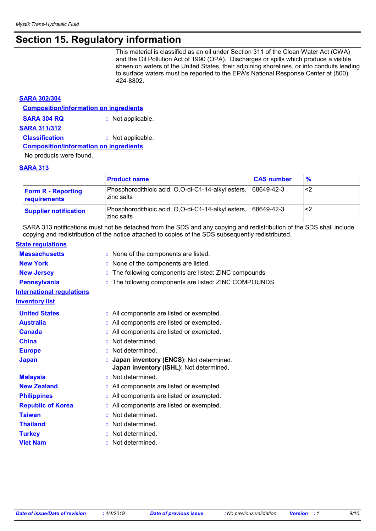### **Section 15. Regulatory information**

This material is classified as an oil under Section 311 of the Clean Water Act (CWA) and the Oil Pollution Act of 1990 (OPA). Discharges or spills which produce a visible sheen on waters of the United States, their adjoining shorelines, or into conduits leading to surface waters must be reported to the EPA's National Response Center at (800) 424-8802.

#### **SARA 302/304**

| <b>Composition/information on ingredients</b> |                   |
|-----------------------------------------------|-------------------|
| <b>SARA 304 RQ</b>                            | : Not applicable. |
| SARA 311/312                                  |                   |
| <b>Classification</b>                         | : Not applicable. |
| <b>Composition/information on ingredients</b> |                   |

No products were found.

#### **SARA 313**

|                                           | <b>Product name</b>                                              | <b>CAS number</b> | $\frac{9}{6}$ |
|-------------------------------------------|------------------------------------------------------------------|-------------------|---------------|
| <b>Form R - Reporting</b><br>requirements | Phosphorodithioic acid, O,O-di-C1-14-alkyl esters,<br>zinc salts | 68649-42-3        | ′<2           |
| <b>Supplier notification</b>              | Phosphorodithioic acid, O,O-di-C1-14-alkyl esters,<br>zinc salts | 68649-42-3        | <2            |

SARA 313 notifications must not be detached from the SDS and any copying and redistribution of the SDS shall include copying and redistribution of the notice attached to copies of the SDS subsequently redistributed.

#### **State regulations**

| <b>Massachusetts</b>             | : None of the components are listed.                                               |  |
|----------------------------------|------------------------------------------------------------------------------------|--|
| <b>New York</b>                  | None of the components are listed.                                                 |  |
| <b>New Jersey</b>                | The following components are listed: ZINC compounds<br>t.                          |  |
| <b>Pennsylvania</b>              | The following components are listed: ZINC COMPOUNDS                                |  |
| <b>International regulations</b> |                                                                                    |  |
| <b>Inventory list</b>            |                                                                                    |  |
| <b>United States</b>             | : All components are listed or exempted.                                           |  |
| <b>Australia</b>                 | All components are listed or exempted.                                             |  |
| <b>Canada</b>                    | All components are listed or exempted.                                             |  |
| <b>China</b>                     | Not determined.                                                                    |  |
| <b>Europe</b>                    | Not determined.                                                                    |  |
| <b>Japan</b>                     | Japan inventory (ENCS): Not determined.<br>Japan inventory (ISHL): Not determined. |  |
| <b>Malaysia</b>                  | Not determined.                                                                    |  |
| <b>New Zealand</b>               | All components are listed or exempted.                                             |  |
| <b>Philippines</b>               | All components are listed or exempted.                                             |  |
| <b>Republic of Korea</b>         | All components are listed or exempted.                                             |  |
| <b>Taiwan</b>                    | Not determined.                                                                    |  |
| <b>Thailand</b>                  | Not determined.                                                                    |  |
| <b>Turkey</b>                    | Not determined.                                                                    |  |
| <b>Viet Nam</b>                  | Not determined.                                                                    |  |